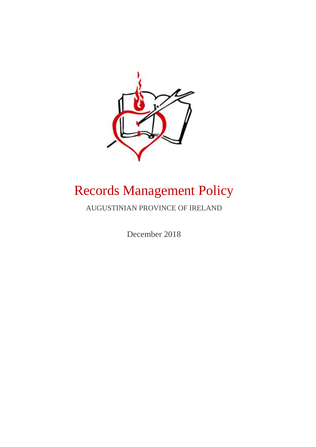

# Records Management Policy

AUGUSTINIAN PROVINCE OF IRELAND

December 2018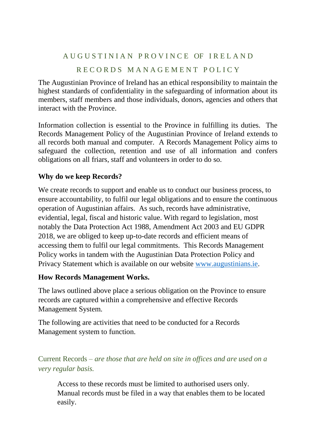# A U G U S T I N I A N P R O V I N C E OF I R E L A N D RECORDS MANAGEMENT POLICY

The Augustinian Province of Ireland has an ethical responsibility to maintain the highest standards of confidentiality in the safeguarding of information about its members, staff members and those individuals, donors, agencies and others that interact with the Province.

Information collection is essential to the Province in fulfilling its duties. The Records Management Policy of the Augustinian Province of Ireland extends to all records both manual and computer. A Records Management Policy aims to safeguard the collection, retention and use of all information and confers obligations on all friars, staff and volunteers in order to do so.

# **Why do we keep Records?**

We create records to support and enable us to conduct our business process, to ensure accountability, to fulfil our legal obligations and to ensure the continuous operation of Augustinian affairs. As such, records have administrative, evidential, legal, fiscal and historic value. With regard to legislation, most notably the Data Protection Act 1988, Amendment Act 2003 and EU GDPR 2018, we are obliged to keep up-to-date records and efficient means of accessing them to fulfil our legal commitments. This Records Management Policy works in tandem with the Augustinian Data Protection Policy and Privacy Statement which is available on our website [www.augustinians.ie.](http://www.augustinians.ie/)

# **How Records Management Works.**

The laws outlined above place a serious obligation on the Province to ensure records are captured within a comprehensive and effective Records Management System.

The following are activities that need to be conducted for a Records Management system to function.

Current Records – *are those that are held on site in offices and are used on a very regular basis.* 

Access to these records must be limited to authorised users only. Manual records must be filed in a way that enables them to be located easily.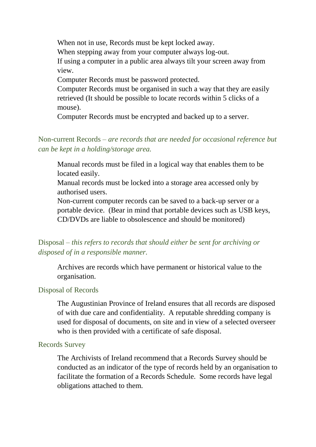When not in use, Records must be kept locked away. When stepping away from your computer always log-out. If using a computer in a public area always tilt your screen away from view. Computer Records must be password protected. Computer Records must be organised in such a way that they are easily retrieved (It should be possible to locate records within 5 clicks of a

mouse).

Computer Records must be encrypted and backed up to a server.

Non-current Records – *are records that are needed for occasional reference but can be kept in a holding/storage area.*

Manual records must be filed in a logical way that enables them to be located easily.

Manual records must be locked into a storage area accessed only by authorised users.

Non-current computer records can be saved to a back-up server or a portable device. (Bear in mind that portable devices such as USB keys, CD/DVDs are liable to obsolescence and should be monitored)

# Disposal – *this refers to records that should either be sent for archiving or disposed of in a responsible manner.*

Archives are records which have permanent or historical value to the organisation.

#### Disposal of Records

The Augustinian Province of Ireland ensures that all records are disposed of with due care and confidentiality. A reputable shredding company is used for disposal of documents, on site and in view of a selected overseer who is then provided with a certificate of safe disposal.

#### Records Survey

The Archivists of Ireland recommend that a Records Survey should be conducted as an indicator of the type of records held by an organisation to facilitate the formation of a Records Schedule. Some records have legal obligations attached to them.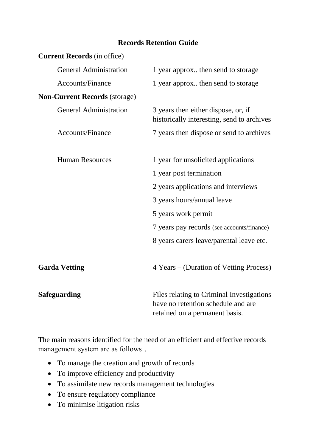### **Records Retention Guide**

| <b>Current Records</b> (in office)   |                                                                                                                   |
|--------------------------------------|-------------------------------------------------------------------------------------------------------------------|
| <b>General Administration</b>        | 1 year approx then send to storage                                                                                |
| Accounts/Finance                     | 1 year approx then send to storage                                                                                |
| <b>Non-Current Records (storage)</b> |                                                                                                                   |
| <b>General Administration</b>        | 3 years then either dispose, or, if<br>historically interesting, send to archives                                 |
| <b>Accounts/Finance</b>              | 7 years then dispose or send to archives                                                                          |
| <b>Human Resources</b>               | 1 year for unsolicited applications                                                                               |
|                                      | 1 year post termination                                                                                           |
|                                      | 2 years applications and interviews                                                                               |
|                                      | 3 years hours/annual leave                                                                                        |
|                                      | 5 years work permit                                                                                               |
|                                      | 7 years pay records (see accounts/finance)                                                                        |
|                                      | 8 years carers leave/parental leave etc.                                                                          |
| <b>Garda Vetting</b>                 | 4 Years – (Duration of Vetting Process)                                                                           |
| <b>Safeguarding</b>                  | Files relating to Criminal Investigations<br>have no retention schedule and are<br>retained on a permanent basis. |

The main reasons identified for the need of an efficient and effective records management system are as follows…

- To manage the creation and growth of records
- To improve efficiency and productivity
- To assimilate new records management technologies
- To ensure regulatory compliance
- To minimise litigation risks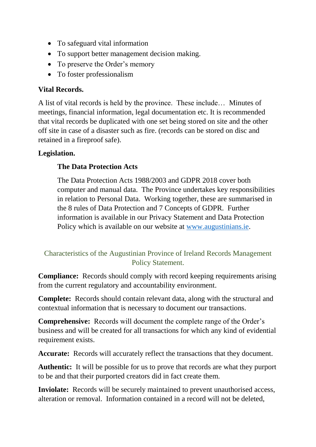- To safeguard vital information
- To support better management decision making.
- To preserve the Order's memory
- To foster professionalism

# **Vital Records.**

A list of vital records is held by the province. These include… Minutes of meetings, financial information, legal documentation etc. It is recommended that vital records be duplicated with one set being stored on site and the other off site in case of a disaster such as fire. (records can be stored on disc and retained in a fireproof safe).

# **Legislation.**

# **The Data Protection Acts**

The Data Protection Acts 1988/2003 and GDPR 2018 cover both computer and manual data. The Province undertakes key responsibilities in relation to Personal Data. Working together, these are summarised in the 8 rules of Data Protection and 7 Concepts of GDPR. Further information is available in our Privacy Statement and Data Protection Policy which is available on our website at [www.augustinians.ie.](http://www.augustinians.ie/)

# Characteristics of the Augustinian Province of Ireland Records Management Policy Statement.

**Compliance:** Records should comply with record keeping requirements arising from the current regulatory and accountability environment.

**Complete:** Records should contain relevant data, along with the structural and contextual information that is necessary to document our transactions.

**Comprehensive:** Records will document the complete range of the Order's business and will be created for all transactions for which any kind of evidential requirement exists.

**Accurate:** Records will accurately reflect the transactions that they document.

**Authentic:** It will be possible for us to prove that records are what they purport to be and that their purported creators did in fact create them.

**Inviolate:** Records will be securely maintained to prevent unauthorised access, alteration or removal. Information contained in a record will not be deleted,